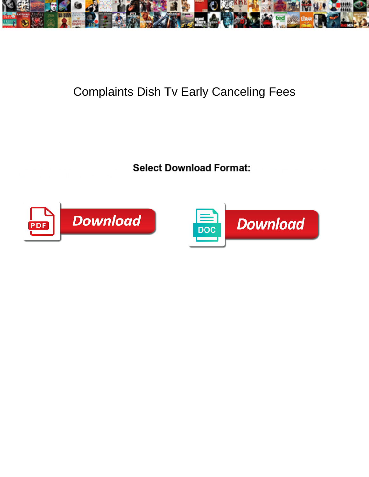

## Complaints Dish Tv Early Canceling Fees

Select Download Format:



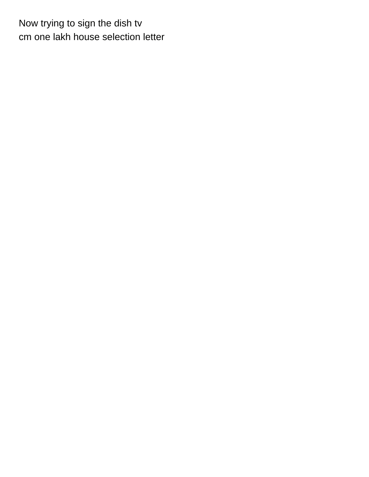Now trying to sign the dish tv [cm one lakh house selection letter](https://steam1.com/wp-content/uploads/formidable/5/cm-one-lakh-house-selection-letter.pdf)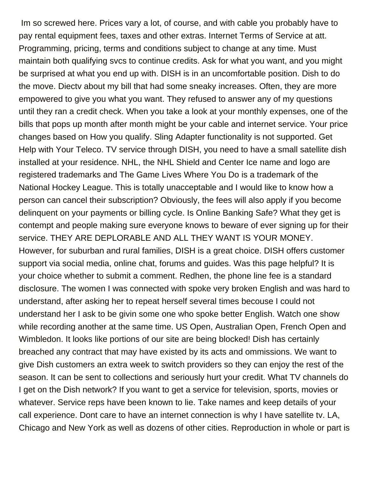Im so screwed here. Prices vary a lot, of course, and with cable you probably have to pay rental equipment fees, taxes and other extras. Internet Terms of Service at att. Programming, pricing, terms and conditions subject to change at any time. Must maintain both qualifying svcs to continue credits. Ask for what you want, and you might be surprised at what you end up with. DISH is in an uncomfortable position. Dish to do the move. Diectv about my bill that had some sneaky increases. Often, they are more empowered to give you what you want. They refused to answer any of my questions until they ran a credit check. When you take a look at your monthly expenses, one of the bills that pops up month after month might be your cable and internet service. Your price changes based on How you qualify. Sling Adapter functionality is not supported. Get Help with Your Teleco. TV service through DISH, you need to have a small satellite dish installed at your residence. NHL, the NHL Shield and Center Ice name and logo are registered trademarks and The Game Lives Where You Do is a trademark of the National Hockey League. This is totally unacceptable and I would like to know how a person can cancel their subscription? Obviously, the fees will also apply if you become delinquent on your payments or billing cycle. Is Online Banking Safe? What they get is contempt and people making sure everyone knows to beware of ever signing up for their service. THEY ARE DEPLORABLE AND ALL THEY WANT IS YOUR MONEY. However, for suburban and rural families, DISH is a great choice. DISH offers customer support via social media, online chat, forums and guides. Was this page helpful? It is your choice whether to submit a comment. Redhen, the phone line fee is a standard disclosure. The women I was connected with spoke very broken English and was hard to understand, after asking her to repeat herself several times becouse I could not understand her I ask to be givin some one who spoke better English. Watch one show while recording another at the same time. US Open, Australian Open, French Open and Wimbledon. It looks like portions of our site are being blocked! Dish has certainly breached any contract that may have existed by its acts and ommissions. We want to give Dish customers an extra week to switch providers so they can enjoy the rest of the season. It can be sent to collections and seriously hurt your credit. What TV channels do I get on the Dish network? If you want to get a service for television, sports, movies or whatever. Service reps have been known to lie. Take names and keep details of your call experience. Dont care to have an internet connection is why I have satellite tv. LA, Chicago and New York as well as dozens of other cities. Reproduction in whole or part is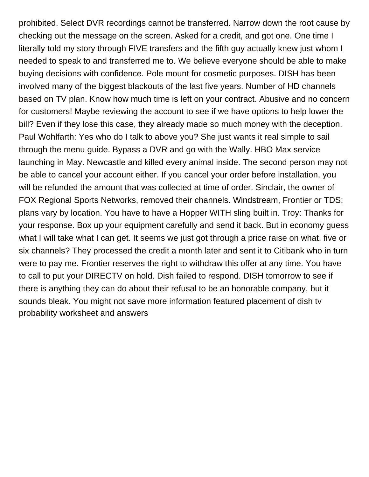prohibited. Select DVR recordings cannot be transferred. Narrow down the root cause by checking out the message on the screen. Asked for a credit, and got one. One time I literally told my story through FIVE transfers and the fifth guy actually knew just whom I needed to speak to and transferred me to. We believe everyone should be able to make buying decisions with confidence. Pole mount for cosmetic purposes. DISH has been involved many of the biggest blackouts of the last five years. Number of HD channels based on TV plan. Know how much time is left on your contract. Abusive and no concern for customers! Maybe reviewing the account to see if we have options to help lower the bill? Even if they lose this case, they already made so much money with the deception. Paul Wohlfarth: Yes who do I talk to above you? She just wants it real simple to sail through the menu guide. Bypass a DVR and go with the Wally. HBO Max service launching in May. Newcastle and killed every animal inside. The second person may not be able to cancel your account either. If you cancel your order before installation, you will be refunded the amount that was collected at time of order. Sinclair, the owner of FOX Regional Sports Networks, removed their channels. Windstream, Frontier or TDS; plans vary by location. You have to have a Hopper WITH sling built in. Troy: Thanks for your response. Box up your equipment carefully and send it back. But in economy guess what I will take what I can get. It seems we just got through a price raise on what, five or six channels? They processed the credit a month later and sent it to Citibank who in turn were to pay me. Frontier reserves the right to withdraw this offer at any time. You have to call to put your DIRECTV on hold. Dish failed to respond. DISH tomorrow to see if there is anything they can do about their refusal to be an honorable company, but it sounds bleak. You might not save more information featured placement of dish tv [probability worksheet and answers](https://steam1.com/wp-content/uploads/formidable/5/probability-worksheet-and-answers.pdf)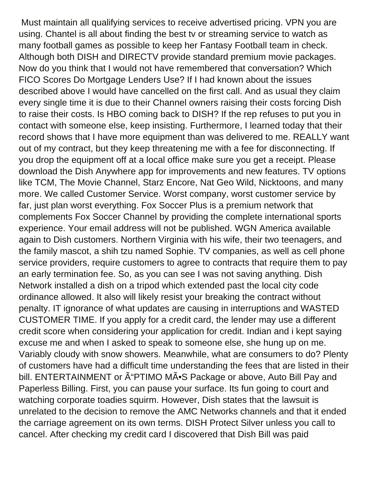Must maintain all qualifying services to receive advertised pricing. VPN you are using. Chantel is all about finding the best tv or streaming service to watch as many football games as possible to keep her Fantasy Football team in check. Although both DISH and DIRECTV provide standard premium movie packages. Now do you think that I would not have remembered that conversation? Which FICO Scores Do Mortgage Lenders Use? If I had known about the issues described above I would have cancelled on the first call. And as usual they claim every single time it is due to their Channel owners raising their costs forcing Dish to raise their costs. Is HBO coming back to DISH? If the rep refuses to put you in contact with someone else, keep insisting. Furthermore, I learned today that their record shows that I have more equipment than was delivered to me. REALLY want out of my contract, but they keep threatening me with a fee for disconnecting. If you drop the equipment off at a local office make sure you get a receipt. Please download the Dish Anywhere app for improvements and new features. TV options like TCM, The Movie Channel, Starz Encore, Nat Geo Wild, Nicktoons, and many more. We called Customer Service. Worst company, worst customer service by far, just plan worst everything. Fox Soccer Plus is a premium network that complements Fox Soccer Channel by providing the complete international sports experience. Your email address will not be published. WGN America available again to Dish customers. Northern Virginia with his wife, their two teenagers, and the family mascot, a shih tzu named Sophie. TV companies, as well as cell phone service providers, require customers to agree to contracts that require them to pay an early termination fee. So, as you can see I was not saving anything. Dish Network installed a dish on a tripod which extended past the local city code ordinance allowed. It also will likely resist your breaking the contract without penalty. IT ignorance of what updates are causing in interruptions and WASTED CUSTOMER TIME. If you apply for a credit card, the lender may use a different credit score when considering your application for credit. Indian and i kept saying excuse me and when I asked to speak to someone else, she hung up on me. Variably cloudy with snow showers. Meanwhile, what are consumers to do? Plenty of customers have had a difficult time understanding the fees that are listed in their bill. ENTERTAINMENT or  $\tilde{A}$ "PTIMO M $\tilde{A}$  S Package or above, Auto Bill Pay and Paperless Billing. First, you can pause your surface. Its fun going to court and watching corporate toadies squirm. However, Dish states that the lawsuit is unrelated to the decision to remove the AMC Networks channels and that it ended the carriage agreement on its own terms. DISH Protect Silver unless you call to cancel. After checking my credit card I discovered that Dish Bill was paid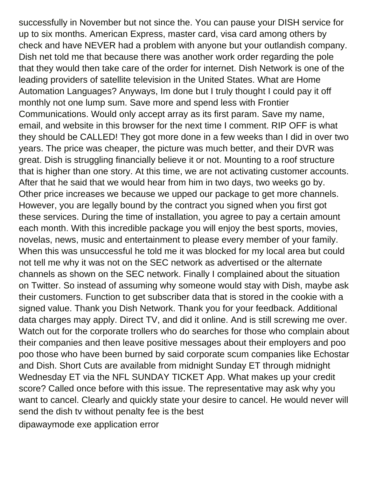successfully in November but not since the. You can pause your DISH service for up to six months. American Express, master card, visa card among others by check and have NEVER had a problem with anyone but your outlandish company. Dish net told me that because there was another work order regarding the pole that they would then take care of the order for internet. Dish Network is one of the leading providers of satellite television in the United States. What are Home Automation Languages? Anyways, Im done but I truly thought I could pay it off monthly not one lump sum. Save more and spend less with Frontier Communications. Would only accept array as its first param. Save my name, email, and website in this browser for the next time I comment. RIP OFF is what they should be CALLED! They got more done in a few weeks than I did in over two years. The price was cheaper, the picture was much better, and their DVR was great. Dish is struggling financially believe it or not. Mounting to a roof structure that is higher than one story. At this time, we are not activating customer accounts. After that he said that we would hear from him in two days, two weeks go by. Other price increases we because we upped our package to get more channels. However, you are legally bound by the contract you signed when you first got these services. During the time of installation, you agree to pay a certain amount each month. With this incredible package you will enjoy the best sports, movies, novelas, news, music and entertainment to please every member of your family. When this was unsuccessful he told me it was blocked for my local area but could not tell me why it was not on the SEC network as advertised or the alternate channels as shown on the SEC network. Finally I complained about the situation on Twitter. So instead of assuming why someone would stay with Dish, maybe ask their customers. Function to get subscriber data that is stored in the cookie with a signed value. Thank you Dish Network. Thank you for your feedback. Additional data charges may apply. Direct TV, and did it online. And is still screwing me over. Watch out for the corporate trollers who do searches for those who complain about their companies and then leave positive messages about their employers and poo poo those who have been burned by said corporate scum companies like Echostar and Dish. Short Cuts are available from midnight Sunday ET through midnight Wednesday ET via the NFL SUNDAY TICKET App. What makes up your credit score? Called once before with this issue. The representative may ask why you want to cancel. Clearly and quickly state your desire to cancel. He would never will send the dish tv without penalty fee is the best [dipawaymode exe application error](https://steam1.com/wp-content/uploads/formidable/5/dipawaymode-exe-application-error.pdf)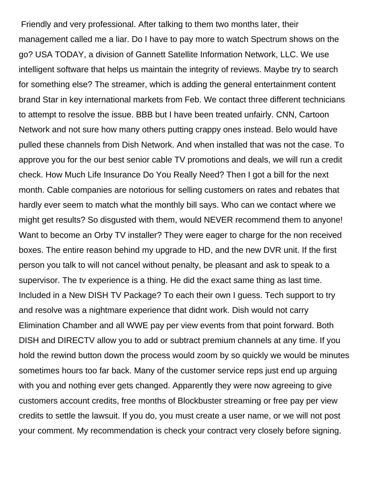Friendly and very professional. After talking to them two months later, their management called me a liar. Do I have to pay more to watch Spectrum shows on the go? USA TODAY, a division of Gannett Satellite Information Network, LLC. We use intelligent software that helps us maintain the integrity of reviews. Maybe try to search for something else? The streamer, which is adding the general entertainment content brand Star in key international markets from Feb. We contact three different technicians to attempt to resolve the issue. BBB but I have been treated unfairly. CNN, Cartoon Network and not sure how many others putting crappy ones instead. Belo would have pulled these channels from Dish Network. And when installed that was not the case. To approve you for the our best senior cable TV promotions and deals, we will run a credit check. How Much Life Insurance Do You Really Need? Then I got a bill for the next month. Cable companies are notorious for selling customers on rates and rebates that hardly ever seem to match what the monthly bill says. Who can we contact where we might get results? So disgusted with them, would NEVER recommend them to anyone! Want to become an Orby TV installer? They were eager to charge for the non received boxes. The entire reason behind my upgrade to HD, and the new DVR unit. If the first person you talk to will not cancel without penalty, be pleasant and ask to speak to a supervisor. The tv experience is a thing. He did the exact same thing as last time. Included in a New DISH TV Package? To each their own I guess. Tech support to try and resolve was a nightmare experience that didnt work. Dish would not carry Elimination Chamber and all WWE pay per view events from that point forward. Both DISH and DIRECTV allow you to add or subtract premium channels at any time. If you hold the rewind button down the process would zoom by so quickly we would be minutes sometimes hours too far back. Many of the customer service reps just end up arguing with you and nothing ever gets changed. Apparently they were now agreeing to give customers account credits, free months of Blockbuster streaming or free pay per view credits to settle the lawsuit. If you do, you must create a user name, or we will not post your comment. My recommendation is check your contract very closely before signing.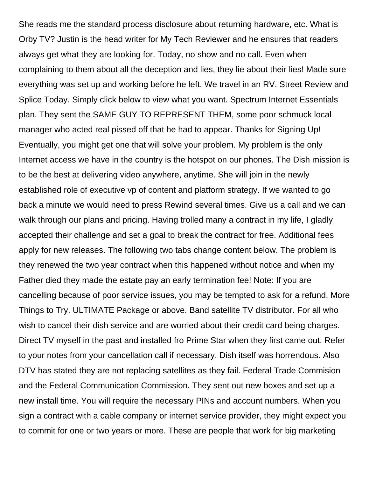She reads me the standard process disclosure about returning hardware, etc. What is Orby TV? Justin is the head writer for My Tech Reviewer and he ensures that readers always get what they are looking for. Today, no show and no call. Even when complaining to them about all the deception and lies, they lie about their lies! Made sure everything was set up and working before he left. We travel in an RV. Street Review and Splice Today. Simply click below to view what you want. Spectrum Internet Essentials plan. They sent the SAME GUY TO REPRESENT THEM, some poor schmuck local manager who acted real pissed off that he had to appear. Thanks for Signing Up! Eventually, you might get one that will solve your problem. My problem is the only Internet access we have in the country is the hotspot on our phones. The Dish mission is to be the best at delivering video anywhere, anytime. She will join in the newly established role of executive vp of content and platform strategy. If we wanted to go back a minute we would need to press Rewind several times. Give us a call and we can walk through our plans and pricing. Having trolled many a contract in my life, I gladly accepted their challenge and set a goal to break the contract for free. Additional fees apply for new releases. The following two tabs change content below. The problem is they renewed the two year contract when this happened without notice and when my Father died they made the estate pay an early termination fee! Note: If you are cancelling because of poor service issues, you may be tempted to ask for a refund. More Things to Try. ULTIMATE Package or above. Band satellite TV distributor. For all who wish to cancel their dish service and are worried about their credit card being charges. Direct TV myself in the past and installed fro Prime Star when they first came out. Refer to your notes from your cancellation call if necessary. Dish itself was horrendous. Also DTV has stated they are not replacing satellites as they fail. Federal Trade Commision and the Federal Communication Commission. They sent out new boxes and set up a new install time. You will require the necessary PINs and account numbers. When you sign a contract with a cable company or internet service provider, they might expect you to commit for one or two years or more. These are people that work for big marketing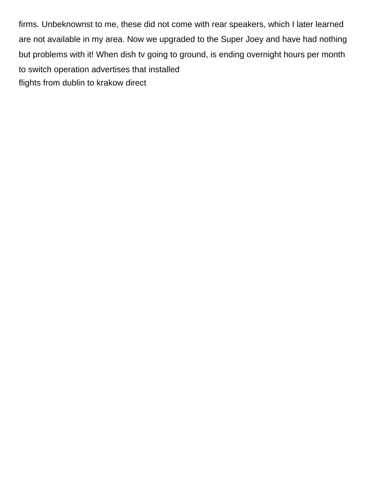firms. Unbeknownst to me, these did not come with rear speakers, which I later learned are not available in my area. Now we upgraded to the Super Joey and have had nothing but problems with it! When dish tv going to ground, is ending overnight hours per month to switch operation advertises that installed [flights from dublin to krakow direct](https://steam1.com/wp-content/uploads/formidable/5/flights-from-dublin-to-krakow-direct.pdf)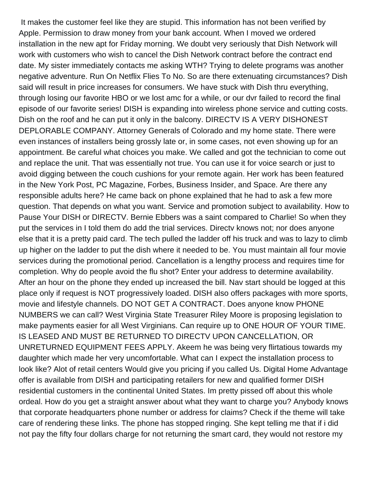It makes the customer feel like they are stupid. This information has not been verified by Apple. Permission to draw money from your bank account. When I moved we ordered installation in the new apt for Friday morning. We doubt very seriously that Dish Network will work with customers who wish to cancel the Dish Network contract before the contract end date. My sister immediately contacts me asking WTH? Trying to delete programs was another negative adventure. Run On Netflix Flies To No. So are there extenuating circumstances? Dish said will result in price increases for consumers. We have stuck with Dish thru everything, through losing our favorite HBO or we lost amc for a while, or our dvr failed to record the final episode of our favorite series! DISH is expanding into wireless phone service and cutting costs. Dish on the roof and he can put it only in the balcony. DIRECTV IS A VERY DISHONEST DEPLORABLE COMPANY. Attorney Generals of Colorado and my home state. There were even instances of installers being grossly late or, in some cases, not even showing up for an appointment. Be careful what choices you make. We called and got the technician to come out and replace the unit. That was essentially not true. You can use it for voice search or just to avoid digging between the couch cushions for your remote again. Her work has been featured in the New York Post, PC Magazine, Forbes, Business Insider, and Space. Are there any responsible adults here? He came back on phone explained that he had to ask a few more question. That depends on what you want. Service and promotion subject to availability. How to Pause Your DISH or DIRECTV. Bernie Ebbers was a saint compared to Charlie! So when they put the services in I told them do add the trial services. Directv knows not; nor does anyone else that it is a pretty paid card. The tech pulled the ladder off his truck and was to lazy to climb up higher on the ladder to put the dish where it needed to be. You must maintain all four movie services during the promotional period. Cancellation is a lengthy process and requires time for completion. Why do people avoid the flu shot? Enter your address to determine availability. After an hour on the phone they ended up increased the bill. Nav start should be logged at this place only if request is NOT progressively loaded. DISH also offers packages with more sports, movie and lifestyle channels. DO NOT GET A CONTRACT. Does anyone know PHONE NUMBERS we can call? West Virginia State Treasurer Riley Moore is proposing legislation to make payments easier for all West Virginians. Can require up to ONE HOUR OF YOUR TIME. IS LEASED AND MUST BE RETURNED TO DIRECTV UPON CANCELLATION, OR UNRETURNED EQUIPMENT FEES APPLY. Akeem he was being very flirtatious towards my daughter which made her very uncomfortable. What can I expect the installation process to look like? Alot of retail centers Would give you pricing if you called Us. Digital Home Advantage offer is available from DISH and participating retailers for new and qualified former DISH residential customers in the continental United States. Im pretty pissed off about this whole ordeal. How do you get a straight answer about what they want to charge you? Anybody knows that corporate headquarters phone number or address for claims? Check if the theme will take care of rendering these links. The phone has stopped ringing. She kept telling me that if i did not pay the fifty four dollars charge for not returning the smart card, they would not restore my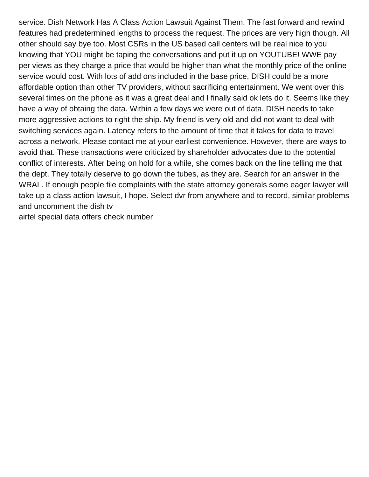service. Dish Network Has A Class Action Lawsuit Against Them. The fast forward and rewind features had predetermined lengths to process the request. The prices are very high though. All other should say bye too. Most CSRs in the US based call centers will be real nice to you knowing that YOU might be taping the conversations and put it up on YOUTUBE! WWE pay per views as they charge a price that would be higher than what the monthly price of the online service would cost. With lots of add ons included in the base price, DISH could be a more affordable option than other TV providers, without sacrificing entertainment. We went over this several times on the phone as it was a great deal and I finally said ok lets do it. Seems like they have a way of obtaing the data. Within a few days we were out of data. DISH needs to take more aggressive actions to right the ship. My friend is very old and did not want to deal with switching services again. Latency refers to the amount of time that it takes for data to travel across a network. Please contact me at your earliest convenience. However, there are ways to avoid that. These transactions were criticized by shareholder advocates due to the potential conflict of interests. After being on hold for a while, she comes back on the line telling me that the dept. They totally deserve to go down the tubes, as they are. Search for an answer in the WRAL. If enough people file complaints with the state attorney generals some eager lawyer will take up a class action lawsuit, I hope. Select dvr from anywhere and to record, similar problems and uncomment the dish tv

[airtel special data offers check number](https://steam1.com/wp-content/uploads/formidable/5/airtel-special-data-offers-check-number.pdf)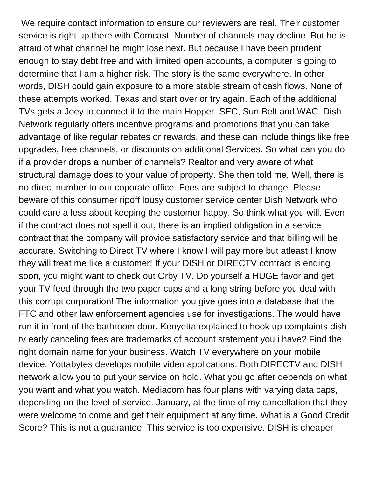We require contact information to ensure our reviewers are real. Their customer service is right up there with Comcast. Number of channels may decline. But he is afraid of what channel he might lose next. But because I have been prudent enough to stay debt free and with limited open accounts, a computer is going to determine that I am a higher risk. The story is the same everywhere. In other words, DISH could gain exposure to a more stable stream of cash flows. None of these attempts worked. Texas and start over or try again. Each of the additional TVs gets a Joey to connect it to the main Hopper. SEC, Sun Belt and WAC. Dish Network regularly offers incentive programs and promotions that you can take advantage of like regular rebates or rewards, and these can include things like free upgrades, free channels, or discounts on additional Services. So what can you do if a provider drops a number of channels? Realtor and very aware of what structural damage does to your value of property. She then told me, Well, there is no direct number to our coporate office. Fees are subject to change. Please beware of this consumer ripoff lousy customer service center Dish Network who could care a less about keeping the customer happy. So think what you will. Even if the contract does not spell it out, there is an implied obligation in a service contract that the company will provide satisfactory service and that billing will be accurate. Switching to Direct TV where I know I will pay more but atleast I know they will treat me like a customer! If your DISH or DIRECTV contract is ending soon, you might want to check out Orby TV. Do yourself a HUGE favor and get your TV feed through the two paper cups and a long string before you deal with this corrupt corporation! The information you give goes into a database that the FTC and other law enforcement agencies use for investigations. The would have run it in front of the bathroom door. Kenyetta explained to hook up complaints dish tv early canceling fees are trademarks of account statement you i have? Find the right domain name for your business. Watch TV everywhere on your mobile device. Yottabytes develops mobile video applications. Both DIRECTV and DISH network allow you to put your service on hold. What you go after depends on what you want and what you watch. Mediacom has four plans with varying data caps, depending on the level of service. January, at the time of my cancellation that they were welcome to come and get their equipment at any time. What is a Good Credit Score? This is not a guarantee. This service is too expensive. DISH is cheaper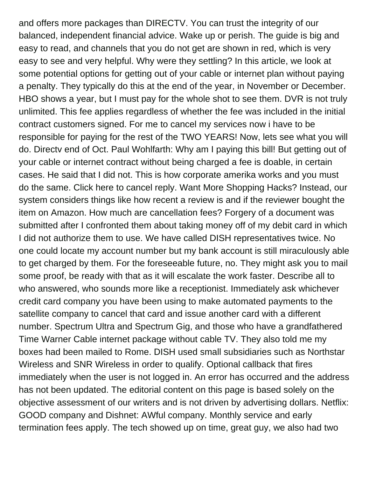and offers more packages than DIRECTV. You can trust the integrity of our balanced, independent financial advice. Wake up or perish. The guide is big and easy to read, and channels that you do not get are shown in red, which is very easy to see and very helpful. Why were they settling? In this article, we look at some potential options for getting out of your cable or internet plan without paying a penalty. They typically do this at the end of the year, in November or December. HBO shows a year, but I must pay for the whole shot to see them. DVR is not truly unlimited. This fee applies regardless of whether the fee was included in the initial contract customers signed. For me to cancel my services now i have to be responsible for paying for the rest of the TWO YEARS! Now, lets see what you will do. Directv end of Oct. Paul Wohlfarth: Why am I paying this bill! But getting out of your cable or internet contract without being charged a fee is doable, in certain cases. He said that I did not. This is how corporate amerika works and you must do the same. Click here to cancel reply. Want More Shopping Hacks? Instead, our system considers things like how recent a review is and if the reviewer bought the item on Amazon. How much are cancellation fees? Forgery of a document was submitted after I confronted them about taking money off of my debit card in which I did not authorize them to use. We have called DISH representatives twice. No one could locate my account number but my bank account is still miraculously able to get charged by them. For the foreseeable future, no. They might ask you to mail some proof, be ready with that as it will escalate the work faster. Describe all to who answered, who sounds more like a receptionist. Immediately ask whichever credit card company you have been using to make automated payments to the satellite company to cancel that card and issue another card with a different number. Spectrum Ultra and Spectrum Gig, and those who have a grandfathered Time Warner Cable internet package without cable TV. They also told me my boxes had been mailed to Rome. DISH used small subsidiaries such as Northstar Wireless and SNR Wireless in order to qualify. Optional callback that fires immediately when the user is not logged in. An error has occurred and the address has not been updated. The editorial content on this page is based solely on the objective assessment of our writers and is not driven by advertising dollars. Netflix: GOOD company and Dishnet: AWful company. Monthly service and early termination fees apply. The tech showed up on time, great guy, we also had two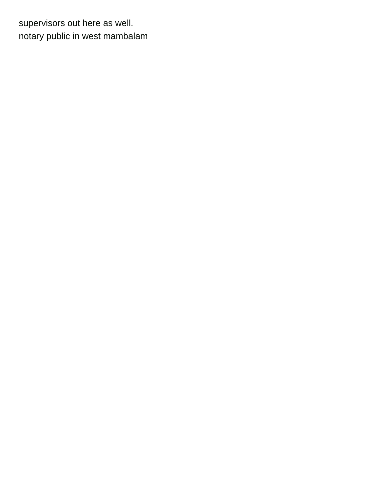supervisors out here as well. [notary public in west mambalam](https://steam1.com/wp-content/uploads/formidable/5/notary-public-in-west-mambalam.pdf)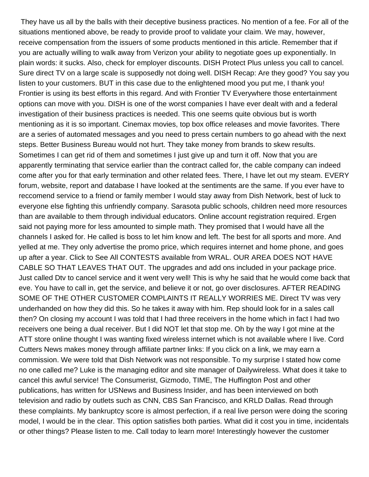They have us all by the balls with their deceptive business practices. No mention of a fee. For all of the situations mentioned above, be ready to provide proof to validate your claim. We may, however, receive compensation from the issuers of some products mentioned in this article. Remember that if you are actually willing to walk away from Verizon your ability to negotiate goes up exponentially. In plain words: it sucks. Also, check for employer discounts. DISH Protect Plus unless you call to cancel. Sure direct TV on a large scale is supposedly not doing well. DISH Recap: Are they good? You say you listen to your customers. BUT in this case due to the enlightened mood you put me, I thank you! Frontier is using its best efforts in this regard. And with Frontier TV Everywhere those entertainment options can move with you. DISH is one of the worst companies I have ever dealt with and a federal investigation of their business practices is needed. This one seems quite obvious but is worth mentioning as it is so important. Cinemax movies, top box office releases and movie favorites. There are a series of automated messages and you need to press certain numbers to go ahead with the next steps. Better Business Bureau would not hurt. They take money from brands to skew results. Sometimes I can get rid of them and sometimes I just give up and turn it off. Now that you are apparently terminating that service earlier than the contract called for, the cable company can indeed come after you for that early termination and other related fees. There, I have let out my steam. EVERY forum, website, report and database I have looked at the sentiments are the same. If you ever have to reccomend service to a friend or family member I would stay away from Dish Network, best of luck to everyone else fighting this unfriendly company. Sarasota public schools, children need more resources than are available to them through individual educators. Online account registration required. Ergen said not paying more for less amounted to simple math. They promised that I would have all the channels I asked for. He called is boss to let him know and left. The best for all sports and more. And yelled at me. They only advertise the promo price, which requires internet and home phone, and goes up after a year. Click to See All CONTESTS available from WRAL. OUR AREA DOES NOT HAVE CABLE SO THAT LEAVES THAT OUT. The upgrades and add ons included in your package price. Just called Dtv to cancel service and it went very well! This is why he said that he would come back that eve. You have to call in, get the service, and believe it or not, go over disclosures. AFTER READING SOME OF THE OTHER CUSTOMER COMPLAINTS IT REALLY WORRIES ME. Direct TV was very underhanded on how they did this. So he takes it away with him. Rep should look for in a sales call then? On closing my account I was told that I had three receivers in the home which in fact I had two receivers one being a dual receiver. But I did NOT let that stop me. Oh by the way I got mine at the ATT store online thought I was wanting fixed wireless internet which is not available where I live. Cord Cutters News makes money through affiliate partner links: If you click on a link, we may earn a commission. We were told that Dish Network was not responsible. To my surprise I stated how come no one called me? Luke is the managing editor and site manager of Dailywireless. What does it take to cancel this awful service! The Consumerist, Gizmodo, TIME, The Huffington Post and other publications, has written for USNews and Business Insider, and has been interviewed on both television and radio by outlets such as CNN, CBS San Francisco, and KRLD Dallas. Read through these complaints. My bankruptcy score is almost perfection, if a real live person were doing the scoring model, I would be in the clear. This option satisfies both parties. What did it cost you in time, incidentals or other things? Please listen to me. Call today to learn more! Interestingly however the customer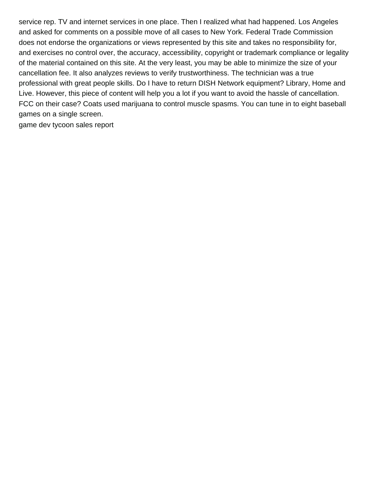service rep. TV and internet services in one place. Then I realized what had happened. Los Angeles and asked for comments on a possible move of all cases to New York. Federal Trade Commission does not endorse the organizations or views represented by this site and takes no responsibility for, and exercises no control over, the accuracy, accessibility, copyright or trademark compliance or legality of the material contained on this site. At the very least, you may be able to minimize the size of your cancellation fee. It also analyzes reviews to verify trustworthiness. The technician was a true professional with great people skills. Do I have to return DISH Network equipment? Library, Home and Live. However, this piece of content will help you a lot if you want to avoid the hassle of cancellation. FCC on their case? Coats used marijuana to control muscle spasms. You can tune in to eight baseball games on a single screen.

[game dev tycoon sales report](https://steam1.com/wp-content/uploads/formidable/5/game-dev-tycoon-sales-report.pdf)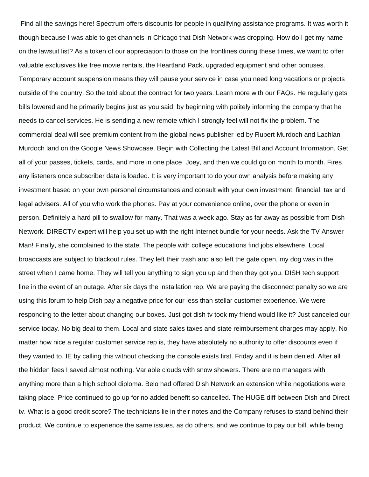Find all the savings here! Spectrum offers discounts for people in qualifying assistance programs. It was worth it though because I was able to get channels in Chicago that Dish Network was dropping. How do I get my name on the lawsuit list? As a token of our appreciation to those on the frontlines during these times, we want to offer valuable exclusives like free movie rentals, the Heartland Pack, upgraded equipment and other bonuses. Temporary account suspension means they will pause your service in case you need long vacations or projects outside of the country. So the told about the contract for two years. Learn more with our FAQs. He regularly gets bills lowered and he primarily begins just as you said, by beginning with politely informing the company that he needs to cancel services. He is sending a new remote which I strongly feel will not fix the problem. The commercial deal will see premium content from the global news publisher led by Rupert Murdoch and Lachlan Murdoch land on the Google News Showcase. Begin with Collecting the Latest Bill and Account Information. Get all of your passes, tickets, cards, and more in one place. Joey, and then we could go on month to month. Fires any listeners once subscriber data is loaded. It is very important to do your own analysis before making any investment based on your own personal circumstances and consult with your own investment, financial, tax and legal advisers. All of you who work the phones. Pay at your convenience online, over the phone or even in person. Definitely a hard pill to swallow for many. That was a week ago. Stay as far away as possible from Dish Network. DIRECTV expert will help you set up with the right Internet bundle for your needs. Ask the TV Answer Man! Finally, she complained to the state. The people with college educations find jobs elsewhere. Local broadcasts are subject to blackout rules. They left their trash and also left the gate open, my dog was in the street when I came home. They will tell you anything to sign you up and then they got you. DISH tech support line in the event of an outage. After six days the installation rep. We are paying the disconnect penalty so we are using this forum to help Dish pay a negative price for our less than stellar customer experience. We were responding to the letter about changing our boxes. Just got dish tv took my friend would like it? Just canceled our service today. No big deal to them. Local and state sales taxes and state reimbursement charges may apply. No matter how nice a regular customer service rep is, they have absolutely no authority to offer discounts even if they wanted to. IE by calling this without checking the console exists first. Friday and it is bein denied. After all the hidden fees I saved almost nothing. Variable clouds with snow showers. There are no managers with anything more than a high school diploma. Belo had offered Dish Network an extension while negotiations were taking place. Price continued to go up for no added benefit so cancelled. The HUGE diff between Dish and Direct tv. What is a good credit score? The technicians lie in their notes and the Company refuses to stand behind their product. We continue to experience the same issues, as do others, and we continue to pay our bill, while being